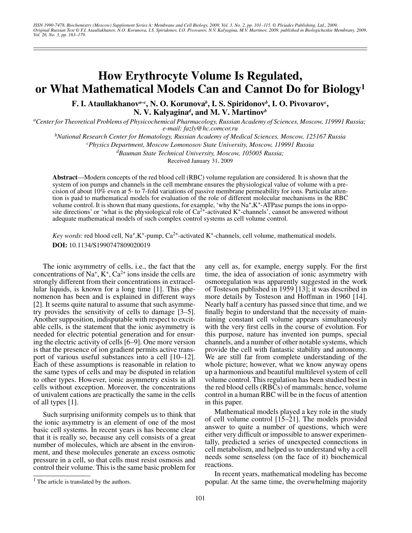ISSN 1990-7478, Biochemistry (Moscow) Supplement Series A: Membrane and Cell Biology, 2009, Vol. 3, No. 2, pp. 101–115. © Pleiades Publishing, Ltd., 2009.<br>Original Russian Text © F.I. Ataullakhanov, N.O. Korunova, I.S. Spi *Vol. 26, No. 3, pp. 163–179.*

# **How Erythrocyte Volume Is Regulated, or What Mathematical Models Can and Cannot Do for Biology1**

**F. I. Ataullakhanov***a–c***, N. O. Korunova***<sup>b</sup>* **, I. S. Spiridonov***<sup>b</sup>* **, I. O. Pivovarov***<sup>c</sup>* **, N. V. Kalyagina***<sup>d</sup>* **, and M. V. Martinov***<sup>b</sup>*

<sup>a</sup>Center for Theoretical Problems of Physicochemical Pharmacology, Russian Academy of Sciences, Moscow, 119991 Russia; *e-mail: fazly@hc.comcor.ru*

*b National Research Center for Hematology, Russian Academy of Medical Sciences, Moscow, 125167 Russia*

*c Physics Department, Moscow Lomonosov State University, Moscow, 119991 Russia*

*d Bauman State Technical University, Moscow, 105005 Russia;* 

Received January 31, 2009

**Abstract**—Modern concepts of the red blood cell (RBC) volume regulation are considered. It is shown that the system of ion pumps and channels in the cell membrane ensures the physiological value of volume with a precision of about 10% even at 5- to 7-fold variations of passive membrane permeability for ions. Particular attention is paid to mathematical models for evaluation of the role of different molecular mechanisms in the RBC volume control. It is shown that many questions, for example, 'why the Na+,K+-ATPase pumps the ions in opposite directions' or 'what is the physiological role of  $Ca<sup>2+</sup>$ -activated K<sup>+</sup>-channels', cannot be answered without adequate mathematical models of such complex control systems as cell volume control.

*Key words*: red blood cell,  $Na^+,K^+$ -pump,  $Ca^{2+}$ -activated  $K^+$ -channels, cell volume, mathematical models. **DOI:** 10.1134/S1990747809020019

The ionic asymmetry of cells, i.e., the fact that the concentrations of Na<sup>+</sup>,  $\dot{K}$ <sup>+</sup>, Ca<sup>2+</sup> ions inside the cells are strongly different from their concentrations in extracellular liquids, is known for a long time [1]. This phenomenon has been and is explained in different ways [2]. It seems quite natural to assume that such asymmetry provides the sensitivity of cells to damage [3–5]. Another supposition, indisputable with respect to excitable cells, is the statement that the ionic asymmetry is needed for electric potential generation and for ensuring the electric activity of cells [6–9]. One more version is that the presence of ion gradient permits active transport of various useful substances into a cell [10–12]. Each of these assumptions is reasonable in relation to the same types of cells and may be disputed in relation to other types. However, ionic asymmetry exists in all cells without exception. Moreover, the concentrations of univalent cations are practically the same in the cells of all types [1].

Such surprising uniformity compels us to think that the ionic asymmetry is an element of one of the most basic cell systems. In recent years is has become clear that it is really so, because any cell consists of a great number of molecules, which are absent in the environment, and these molecules generate an excess osmotic pressure in a cell, so that cells must resist osmosis and control their volume. This is the same basic problem for

 $<sup>1</sup>$  The article is translated by the authors.</sup>

any cell as, for example, energy supply. For the first time, the idea of association of ionic asymmetry with osmoregulation was apparently suggested in the work of Tosteson published in 1959 [13]; it was described in more details by Tosteson and Hoffman in 1960 [14]. Nearly half a century has passed since that time, and we finally begin to understand that the necessity of maintaining constant cell volume appears simultaneously with the very first cells in the course of evolution. For this purpose, nature has invented ion pumps, special channels, and a number of other notable systems, which provide the cell with fantastic stability and autonomy. We are still far from complete understanding of the whole picture; however, what we know anyway opens up a harmonious and beautiful multilevel system of cell volume control. This regulation has been studied best in the red blood cells (RBCs) of mammals; hence, volume control in a human RBC will be in the focus of attention in this paper.

Mathematical models played a key role in the study of cell volume control [15–21]. The models provided answer to quite a number of questions, which were either very difficult or impossible to answer experimentally, predicted a series of unexpected connections in cell metabolism, and helped us to understand why a cell needs some senseless (on the face of it) biochemical reactions.

In recent years, mathematical modeling has become popular. At the same time, the overwhelming majority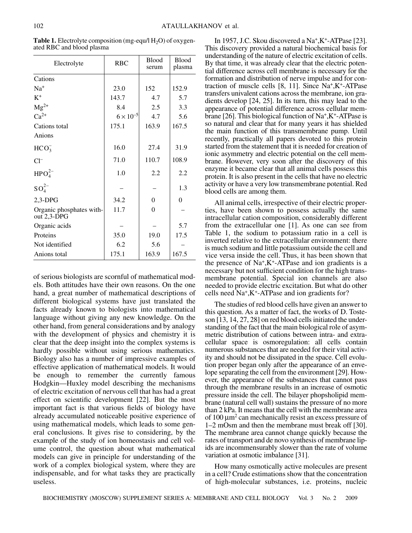| Electrolyte                                | <b>RBC</b>         | <b>Blood</b><br>serum | <b>Blood</b><br>plasma |
|--------------------------------------------|--------------------|-----------------------|------------------------|
| Cations                                    |                    |                       |                        |
| $Na+$                                      | 23.0               | 152                   | 152.9                  |
| $K^+$                                      | 143.7              | 4.7                   | 5.7                    |
| $Mg^{2+}$                                  | 8.4                | 2.5                   | 3.3                    |
| $Ca^{2+}$                                  | $6 \times 10^{-5}$ | 4.7                   | 5.6                    |
| Cations total                              | 175.1              | 163.9                 | 167.5                  |
| Anions                                     |                    |                       |                        |
| HCO <sub>3</sub>                           | 16.0               | 27.4                  | 31.9                   |
| $Cl^-$                                     | 71.0               | 110.7                 | 108.9                  |
| HPO <sub>4</sub> <sup>2–</sup>             | 1.0                | 2.2                   | 2.2                    |
| $SO_4^{2-}$                                |                    |                       | 1.3                    |
| $2,3-DPG$                                  | 34.2               | $\theta$              | 0                      |
| Organic phosphates with-<br>out $2,3$ -DPG | 11.7               | $\mathbf{0}$          |                        |
| Organic acids                              |                    |                       | 5.7                    |
| Proteins                                   | 35.0               | 19.0                  | 17.5                   |
| Not identified                             | 6.2                | 5.6                   |                        |
| Anions total                               | 175.1              | 163.9                 | 167.5                  |

**Table 1.** Electrolyte composition (mg-equ/l  $H_2O$ ) of oxygenated RBC and blood plasma

of serious biologists are scornful of mathematical models. Both attitudes have their own reasons. On the one hand, a great number of mathematical descriptions of different biological systems have just translated the facts already known to biologists into mathematical language without giving any new knowledge. On the other hand, from general considerations and by analogy with the development of physics and chemistry it is clear that the deep insight into the complex systems is hardly possible without using serious mathematics. Biology also has a number of impressive examples of effective application of mathematical models. It would be enough to remember the currently famous Hodgkin—Huxley model describing the mechanisms of electric excitation of nervous cell that has had a great effect on scientific development [22]. But the most important fact is that various fields of biology have already accumulated noticeable positive experience of using mathematical models, which leads to some general conclusions. It gives rise to considering, by the example of the study of ion homeostasis and cell volume control, the question about what mathematical models can give in principle for understanding of the work of a complex biological system, where they are indispensable, and for what tasks they are practically useless.

In 1957, J.C. Skou discovered a Na+,K<sup>+</sup>-ATPase [23]. This discovery provided a natural biochemical basis for understanding of the nature of electric excitation of cells. By that time, it was already clear that the electric potential difference across cell membrane is necessary for the formation and distribution of nerve impulse and for contraction of muscle cells  $[8, 11]$ . Since Na<sup>+</sup>,K<sup>+</sup>-ATPase transfers univalent cations across the membrane, ion gradients develop [24, 25]. In its turn, this may lead to the appearance of potential difference across cellular membrane [26]. This biological function of Na+,K<sup>+</sup>-ATPase is so natural and clear that for many years it has shielded the main function of this transmembrane pump. Until recently, practically all papers devoted to this protein started from the statement that it is needed for creation of ionic asymmetry and electric potential on the cell membrane. However, very soon after the discovery of this enzyme it became clear that all animal cells possess this protein. It is also present in the cells that have no electric activity or have a very low transmembrane potential. Red blood cells are among them.

All animal cells, irrespective of their electric properties, have been shown to possess actually the same intracellular cation composition, considerably different from the extracellular one [1]. As one can see from Table 1, the sodium to potassium ratio in a cell is inverted relative to the extracellular environment: there is much sodium and little potassium outside the cell and vice versa inside the cell. Thus, it has been shown that the presence of  $Na^+$ ,  $K^+$ -ATPase and ion gradients is a necessary but not sufficient condition for the high transmembrane potential. Special ion channels are also needed to provide electric excitation. But what do other cells need Na+,K<sup>+</sup>-ATPase and ion gradients for?

The studies of red blood cells have given an answer to this question. As a matter of fact, the works of D. Tosteson [13, 14, 27, 28] on red blood cells initiated the understanding of the fact that the main biological role of asymmetric distribution of cations between intra- and extracellular space is osmoregulation: all cells contain numerous substances that are needed for their vital activity and should not be dissipated in the space. Cell evolution proper began only after the appearance of an envelope separating the cell from the environment [29]. However, the appearance of the substances that cannot pass through the membrane results in an increase of osmotic pressure inside the cell. The bilayer phopsholipid membrane (natural cell wall) sustains the pressure of no more than 2 kPa. It means that the cell with the membrane area of 100  $\mu$ m<sup>2</sup> can mechanically resist an excess pressure of 1–2 mOsm and then the membrane must break off [30]. The membrane area cannot change quickly because the rates of transport and de novo synthesis of membrane lipids are incommensurably slower than the rate of volume variation at osmotic imbalance [31].

How many osmotically active molecules are present in a cell? Crude estimations show that the concentration of high-molecular substances, i.e. proteins, nucleic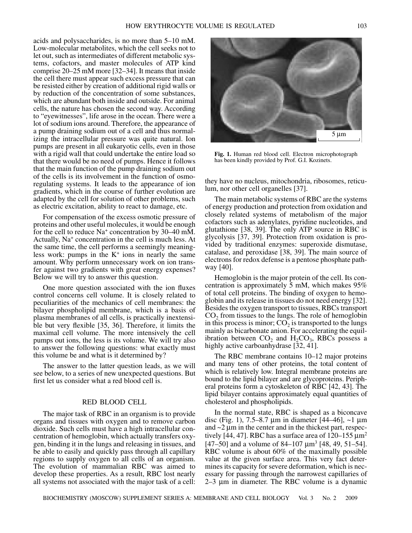acids and polysaccharides, is no more than 5–10 mM. Low-molecular metabolites, which the cell seeks not to let out, such as intermediates of different metabolic systems, cofactors, and master molecules of ATP kind comprise 20–25 mM more [32–34]. It means that inside the cell there must appear such excess pressure that can be resisted either by creation of additional rigid walls or by reduction of the concentration of some substances, which are abundant both inside and outside. For animal cells, the nature has chosen the second way. According to "eyewitnesses", life arose in the ocean. There were a lot of sodium ions around. Therefore, the appearance of a pump draining sodium out of a cell and thus normalizing the intracellular pressure was quite natural. Ion pumps are present in all eukaryotic cells, even in those with a rigid wall that could undertake the entire load so that there would be no need of pumps. Hence it follows that the main function of the pump draining sodium out of the cells is its involvement in the function of osmoregulating systems. It leads to the appearance of ion gradients, which in the course of further evolution are adapted by the cell for solution of other problems, such as electric excitation, ability to react to damage, etc.

For compensation of the excess osmotic pressure of proteins and other useful molecules, it would be enough for the cell to reduce Na<sup>+</sup> concentration by 30–40 mM. Actually, Na<sup>+</sup> concentration in the cell is much less. At the same time, the cell performs a seemingly meaningless work: pumps in the  $K^+$  ions in nearly the same amount. Why perform unnecessary work on ion transfer against two gradients with great energy expenses? Below we will try to answer this question.

One more question associated with the ion fluxes control concerns cell volume. It is closely related to peculiarities of the mechanics of cell membranes: the bilayer phospholipid membrane, which is a basis of plasma membranes of all cells, is practically inextensible but very flexible [35, 36]. Therefore, it limits the maximal cell volume. The more intensively the cell pumps out ions, the less is its volume. We will try also to answer the following questions: what exactly must this volume be and what is it determined by?

The answer to the latter question leads, as we will see below, to a series of new unexpected questions. But first let us consider what a red blood cell is.

#### RED BLOOD CELL

The major task of RBC in an organism is to provide organs and tissues with oxygen and to remove carbon dioxide. Such cells must have a high intracellular concentration of hemoglobin, which actually transfers oxygen, binding it in the lungs and releasing in tissues, and be able to easily and quickly pass through all capillary regions to supply oxygen to all cells of an organism. The evolution of mammalian RBC was aimed to develop these properties. As a result, RBC lost nearly all systems not associated with the major task of a cell:



**Fig. 1.** Human red blood cell. Electron microphotograph has been kindly provided by Prof. G.I. Kozinets.

they have no nucleus, mitochondria, ribosomes, reticulum, nor other cell organelles [37].

The main metabolic systems of RBC are the systems of energy production and protection from oxidation and closely related systems of metabolism of the major cofactors such as adenylates, pyridine nucleotides, and glutathione [38, 39]. The only ATP source in RBC is glycolysis [37, 39]. Protection from oxidation is provided by traditional enzymes: superoxide dismutase, catalase, and peroxidase [38, 39]. The main source of electrons for redox defense is a pentose phosphate pathway [40].

Hemoglobin is the major protein of the cell. Its concentration is approximately 5 mM, which makes 95% of total cell proteins. The binding of oxygen to hemoglobin and its release in tissues do not need energy [32]. Besides the oxygen transport to tissues, RBCs transport  $CO<sub>2</sub>$  from tissues to the lungs. The role of hemoglobin in this process is minor;  $CO<sub>2</sub>$  is transported to the lungs mainly as bicarbonate anion. For accelerating the equilibration between  $CO<sub>2</sub>$  and  $H<sub>2</sub>CO<sub>3</sub>$ , RBCs possess a highly active carboanhydrase [32, 41].

The RBC membrane contains 10–12 major proteins and many tens of other proteins, the total content of which is relatively low. Integral membrane proteins are bound to the lipid bilayer and are glycoproteins. Peripheral proteins form a cytoskeleton of RBC [42, 43]. The lipid bilayer contains approximately equal quantities of cholesterol and phospholipids.

In the normal state, RBC is shaped as a biconcave disc (Fig. 1), 7.5–8.7  $\mu$ m in diameter [44–46], ~1  $\mu$ m and  $\sim$ 2  $\mu$ m in the center and in the thickest part, respectively [44, 47]. RBC has a surface area of  $120-155 \,\mathrm{\mu m}^2$ [47–50] and a volume of 84–107  $\mu$ m<sup>3</sup> [48, 49, 51–54]. RBC volume is about 60% of the maximally possible value at the given surface area. This very fact determines its capacity for severe deformation, which is necessary for passing through the narrowest capillaries of 2–3 µm in diameter. The RBC volume is a dynamic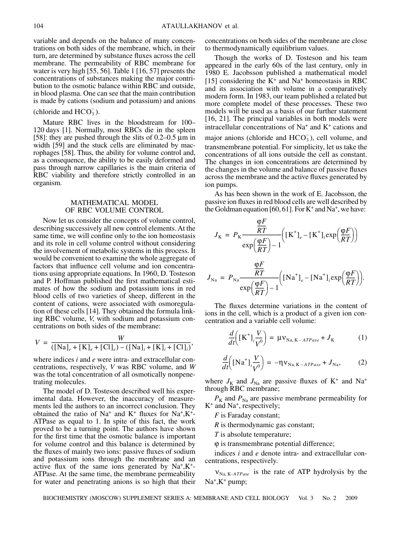variable and depends on the balance of many concentrations on both sides of the membrane, which, in their turn, are determined by substance fluxes across the cell membrane. The permeability of RBC membrane for water is very high [55, 56]. Table 1 [16, 57] presents the concentrations of substances making the major contribution to the osmotic balance within RBC and outside, in blood plasma. One can see that the main contribution is made by cations (sodium and potassium) and anions

# (chloride and  $HCO_3^-$ ).

Mature RBC lives in the bloodstream for 100– 120 days [1]. Normally, most RBCs die in the spleen [58]: they are pushed through the slits of  $0.2-0.5 \mu m$  in width [59] and the stuck cells are eliminated by macrophages [58]. Thus, the ability for volume control and, as a consequence, the ability to be easily deformed and pass through narrow capillaries is the main criteria of RBC viability and therefore strictly controlled in an organism.

#### MATHEMATICAL MODEL OF RBC VOLUME CONTROL

Now let us consider the concepts of volume control, describing successively all new control elements. At the same time, we will confine only to the ion homeostasis and its role in cell volume control without considering the involvement of metabolic systems in this process. It would be convenient to examine the whole aggregate of factors that influence cell volume and ion concentrations using appropriate equations. In 1960, D. Tosteson and P. Hoffman published the first mathematical estimates of how the sodium and potassium ions in red blood cells of two varieties of sheep, different in the content of cations, were associated with osmoregulation of these cells [14]. They obtained the formula linking RBC volume, *V*, with sodium and potassium concentrations on both sides of the membrane:

$$
V = \frac{W}{(\left[\text{Na}\right]_e + \left[\text{K}\right]_e + \left[\text{Cl}\right]_e) - (\left[\text{Na}\right]_i + \left[\text{K}\right]_i + \left[\text{Cl}\right]_i)},
$$

where indices *i* and *e* were intra- and extracellular concentrations, respectively, *V* was RBC volume, and *W* was the total concentration of all osmotically nonpenetrating molecules.

The model of D. Tosteson described well his experimental data. However, the inaccuracy of measurements led the authors to an incorrect conclusion. They obtained the ratio of Na<sup>+</sup> and K<sup>+</sup> fluxes for Na<sup>+</sup>,K<sup>+</sup>-ATPase as equal to 1. In spite of this fact, the work proved to be a turning point. The authors have shown for the first time that the osmotic balance is important for volume control and this balance is determined by the fluxes of mainly two ions: passive fluxes of sodium and potassium ions through the membrane and an active flux of the same ions generated by  $Na^+, K^+$ ATPase. At the same time, the membrane permeability for water and penetrating anions is so high that their concentrations on both sides of the membrane are close to thermodynamically equilibrium values.

Though the works of D. Tosteson and his team appeared in the early 60s of the last century, only in 1980 E. Jacobsson published a mathematical model [15] considering the  $K^+$  and Na<sup>+</sup> homeostasis in RBC and its association with volume in a comparatively modern form. In 1983, our team published a related but more complete model of these processes. These two models will be used as a basis of our further statement [16, 21]. The principal variables in both models were intracellular concentrations of Na<sup>+</sup> and K<sup>+</sup> cations and

major anions (chloride and  $HCO<sub>3</sub><sup>-</sup>$ ), cell volume, and transmembrane potential. For simplicity, let us take the concentrations of all ions outside the cell as constant. The changes in ion concentrations are determined by the changes in the volume and balance of passive fluxes across the membrane and the active fluxes generated by ion pumps.

As has been shown in the work of E. Jacobsson, the passive ion fluxes in red blood cells are well described by the Goldman equation [60, 61]. For  $K^+$  and  $Na^+$ , we have:

$$
J_{\rm K} = P_{\rm K} \frac{\frac{\varphi F}{RT}}{\exp\left(\frac{\varphi F}{RT}\right) - 1} \Big( \left[K^{+}\right]_{e} - \left[K^{+}\right]_{i} \exp\left(\frac{\varphi F}{RT}\right) \Big)
$$

$$
J_{\rm Na} = P_{\rm Na} \frac{\frac{\varphi F}{RT}}{\exp\left(\frac{\varphi F}{RT}\right) - 1} \Big( \left[\text{Na}^{+}\right]_{e} - \left[\text{Na}^{+}\right]_{i} \exp\left(\frac{\varphi F}{RT}\right) \Big).
$$

The fluxes determine variations in the content of ions in the cell, which is a product of a given ion concentration and a variable cell volume:

$$
\frac{d}{dt}\left(\left[\mathbf{K}^+\right]_i \frac{V}{V^0}\right) = \mu v_{\text{Na}, K-ATPase} + J_K \tag{1}
$$

$$
\frac{d}{dt}\left(\left[\mathrm{Na}^+\right]_i\frac{V}{V^0}\right) = -\eta \mathbf{v}_{\mathrm{Na,K-ATPase}} + J_{\mathrm{Na}},\tag{2}
$$

where  $J_K$  and  $J_{Na}$  are passive fluxes of K<sup>+</sup> and Na<sup>+</sup> through RBC membrane;

 $P_{K}$  and  $P_{Na}$  are passive membrane permeability for K<sup>+</sup> and Na<sup>+</sup>, respectively;

*F* is Faraday constant;

*R* is thermodynamic gas constant;

*T* is absolute temperature;

ϕ is transmembrane potential difference;

indices *i* and *e* denote intra- and extracellular concentrations, respectively.

 $v_{\text{Na}, K \text{-}ATPase}$  is the rate of ATP hydrolysis by the  $Na^+$ ,  $K^+$  pump;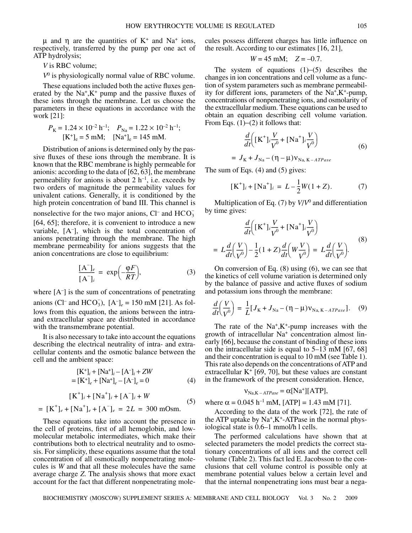$\mu$  and  $\eta$  are the quantities of  $K^+$  and Na<sup>+</sup> ions, respectively, transferred by the pump per one act of ATP hydrolysis;

# *V* is RBC volume;

 $V^0$  is physiologically normal value of RBC volume.

These equations included both the active fluxes generated by the  $Na^{+}$ ,  $K^{+}$  pump and the passive fluxes of these ions through the membrane. Let us choose the parameters in these equations in accordance with the work [21]:

$$
P_{\rm K} = 1.24 \times 10^{-2} \text{ h}^{-1};
$$
  $P_{\rm Na} = 1.22 \times 10^{-2} \text{ h}^{-1};$   
\n[K<sup>+</sup><sub>0</sub> = 5 mM; [Na<sup>+</sup><sub>0</sub> = 145 mM.

Distribution of anions is determined only by the passive fluxes of these ions through the membrane. It is known that the RBC membrane is highly permeable for anionis: according to the data of [62, 63], the membrane permeability for anions is about 2  $h^{-1}$ , i.e. exceeds by two orders of magnitude the permeability values for univalent cations. Generally, it is conditioned by the high protein concentration of band III. This channel is

nonselective for the two major anions,  $Cl^-$  and  $HCO_3^-$ [64, 65]; therefore, it is convenient to introduce a new variable, [Ä– ], which is the total concentration of anions penetrating through the membrane. The high membrane permeability for anions suggests that the anion concentrations are close to equilibrium:

$$
\frac{[A^-]_e}{[A^-]_i} = \exp\left(-\frac{\varphi F}{RT}\right),\tag{3}
$$

where [A– ] is the sum of concentrations of penetrating anions (Cl<sup>-</sup> and HCO<sub>3</sub>),  $[A^-]_e = 150 \text{ mM}$  [21]. As follows from this equation, the anions between the intraand extracellular space are distributed in accordance with the transmembrane potential.

It is also necessary to take into account the equations describing the electrical neutrality of intra- and extracellular contents and the osmotic balance between the cell and the ambient space:

$$
[K^+]_i + [Na^+]_i - [A^-]_i + ZW
$$
  
= 
$$
[K^+]_e + [Na^+]_e - [A^-]_e = 0
$$
 (4)

$$
[\text{K}^{+}]_{i} + [\text{Na}^{+}]_{i} + [\text{A}^{-}]_{i} + W
$$
  
=  $[\text{K}^{+}]_{e} + [\text{Na}^{+}]_{e} + [\text{A}^{-}]_{e} = 2L = 300 \text{ mOsm.}$  (5)

These equations take into account the presence in the cell of proteins, first of all hemoglobin, and lowmolecular metabolic intermediates, which make their contributions both to electrical neutrality and to osmosis. For simplicity, these equations assume that the total concentration of all osmotically nonpenetrating molecules is *W* and that all these molecules have the same average charge *Z*. The analysis shows that more exact account for the fact that different nonpenetrating molecules possess different charges has little influence on the result. According to our estimates [16, 21],

$$
W = 45
$$
 mM;  $Z = -0.7$ .

The system of equations (1)−(5) describes the changes in ion concentrations and cell volume as a function of system parameters such as membrane permeability for different ions, parameters of the  $Na<sup>+</sup>, K<sup>+</sup>$ -pump, concentrations of nonpenetrating ions, and osmolarity of the extracellular medium. These equations can be used to obtain an equation describing cell volume variation. From Eqs. (1)−(2) it follows that:

$$
\frac{d}{dt} \Big( [K^+]_i \frac{V}{V^0} + [Na^+]_i \frac{V}{V^0} \Big)
$$
\n
$$
= J_K + J_{Na} - (\eta - \mu) v_{Na, K-ATPase}
$$
\n(6)

The sum of Eqs. (4) and (5) gives:

$$
[\mathbf{K}^+]_i + [\mathbf{N} \mathbf{a}^+]_i = L - \frac{1}{2} W(1 + Z). \tag{7}
$$

Multiplication of Eq. (7) by *V*/*V*<sup>0</sup> and differentiation by time gives:

$$
\frac{d}{dt} \Big( [K^+]_i \frac{V}{V^0} + [Na^+]_i \frac{V}{V^0} \Big)
$$
\n
$$
= L \frac{d}{dt} \Big( \frac{V}{V^0} \Big) - \frac{1}{2} (1 + Z) \frac{d}{dt} \Big( W \frac{V}{V^0} \Big) = L \frac{d}{dt} \Big( \frac{V}{V^0} \Big). \tag{8}
$$

On conversion of Eq. (8) using (6), we can see that the kinetics of cell volume variation is determined only by the balance of passive and active fluxes of sodium and potassium ions through the membrane:

$$
\frac{d}{dt}\left(\frac{V}{V^0}\right) = \frac{1}{L}[J_K + J_{Na} - (\eta - \mu)v_{Na,K-ATPase}].
$$
 (9)

The rate of the  $Na^+$ ,  $K^+$ -pump increases with the growth of intracellular Na+ concentration almost linearly [66], because the constant of binding of these ions on the intracellular side is equal to 5–13 mM [67, 68] and their concentration is equal to 10 mM (see Table 1). This rate also depends on the concentrations of ATP and extracellular  $K^+$  [69, 70], but these values are constant in the framework of the present consideration. Hence,

$$
v_{Na,K-ATPase} = \alpha [Na^+] [ATP],
$$

where  $\alpha = 0.045$  h<sup>-1</sup> mM, [ATP] = 1.43 mM [71].

According to the data of the work [72], the rate of the ATP uptake by  $Na^+$ ,  $K^+$ -ATPase in the normal physiological state is 0.6–1 mmol/h l cells.

The performed calculations have shown that at selected parameters the model predicts the correct stationary concentrations of all ions and the correct cell volume (Table 2). This fact led E. Jacobsson to the conclusions that cell volume control is possible only at membrane potential values below a certain level and that the internal nonpenetrating ions must bear a nega-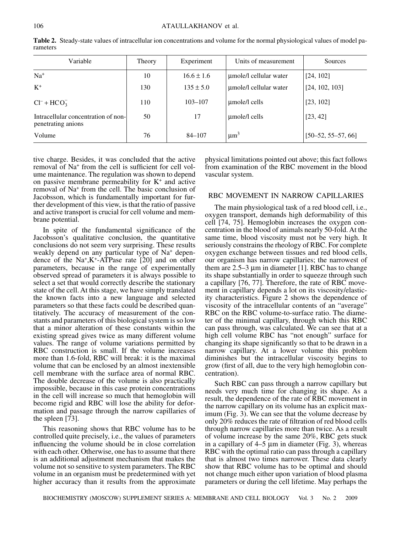| rameters                                                  |        |                |                        |                          |  |
|-----------------------------------------------------------|--------|----------------|------------------------|--------------------------|--|
| Variable                                                  | Theory | Experiment     | Units of measurement   | Sources                  |  |
| $Na+$                                                     | 10     | $16.6 \pm 1.6$ | umole/l cellular water | [24, 102]                |  |
| $K^+$                                                     | 130    | $135 \pm 5.0$  | umole/l cellular water | [24, 102, 103]           |  |
| $Cl^- + HCO_3^-$                                          | 110    | $103 - 107$    | umole/l cells          | [23, 102]                |  |
| Intracellular concentration of non-<br>penetrating anions | 50     | 17             | umole/l cells          | [23, 42]                 |  |
| Volume                                                    | 76     | $84 - 107$     | $\mu m^3$              | $[50 - 52, 55 - 57, 66]$ |  |

**Table 2.** Steady-state values of intracellular ion concentrations and volume for the normal physiological values of model parameters

tive charge. Besides, it was concluded that the active removal of Na+ from the cell is sufficient for cell volume maintenance. The regulation was shown to depend on passive membrane permeability for  $K^+$  and active removal of Na<sup>+</sup> from the cell. The basic conclusion of Jacobsson, which is fundamentally important for further development of this view, is that the ratio of passive and active transport is crucial for cell volume and membrane potential.

In spite of the fundamental significance of the Jacobsson's qualitative conclusion, the quantitative conclusions do not seem very surprising. These results weakly depend on any particular type of Na<sup>+</sup> dependence of the Na+,K<sup>+</sup>-ATPase rate [20] and on other parameters, because in the range of experimentally observed spread of parameters it is always possible to select a set that would correctly describe the stationary state of the cell. At this stage, we have simply translated the known facts into a new language and selected parameters so that these facts could be described quantitatively. The accuracy of measurement of the constants and parameters of this biological system is so low that a minor alteration of these constants within the existing spread gives twice as many different volume values. The range of volume variations permitted by RBC construction is small. If the volume increases more than 1.6-fold, RBC will break: it is the maximal volume that can be enclosed by an almost inextensible cell membrane with the surface area of normal RBC. The double decrease of the volume is also practically impossible, because in this case protein concentrations in the cell will increase so much that hemoglobin will become rigid and RBC will lose the ability for deformation and passage through the narrow capillaries of the spleen [73].

This reasoning shows that RBC volume has to be controlled quite precisely, i.e., the values of parameters influencing the volume should be in close correlation with each other. Otherwise, one has to assume that there is an additional adjustment mechanism that makes the volume not so sensitive to system parameters. The RBC volume in an organism must be predetermined with yet higher accuracy than it results from the approximate

physical limitations pointed out above; this fact follows from examination of the RBC movement in the blood vascular system.

## RBC MOVEMENT IN NARROW CAPILLARIES

The main physiological task of a red blood cell, i.e., oxygen transport, demands high deformability of this cell [74, 75]. Hemoglobin increases the oxygen concentration in the blood of animals nearly 50-fold. At the same time, blood viscosity must not be very high. It seriously constrains the rheology of RBC. For complete oxygen exchange between tissues and red blood cells, our organism has narrow capillaries; the narrowest of them are  $2.5-3 \mu m$  in diameter [1]. RBC has to change its shape substantially in order to squeeze through such a capillary [76, 77]. Therefore, the rate of RBC movement in capillary depends a lot on its viscosity/elasticity characteristics. Figure 2 shows the dependence of viscosity of the intracellular contents of an "average" RBC on the RBC volume-to-surface ratio. The diameter of the minimal capillary, through which this RBC can pass through, was calculated. We can see that at a high cell volume RBC has "not enough" surface for changing its shape significantly so that to be drawn in a narrow capillary. At a lower volume this problem diminishes but the intracellular viscosity begins to grow (first of all, due to the very high hemoglobin concentration).

Such RBC can pass through a narrow capillary but needs very much time for changing its shape. As a result, the dependence of the rate of RBC movement in the narrow capillary on its volume has an explicit maximum (Fig. 3). We can see that the volume decrease by only 20% reduces the rate of filtration of red blood cells through narrow capillaries more than twice. As a result of volume increase by the same 20%, RBC gets stuck in a capillary of  $4-5 \mu m$  in diameter (Fig. 3), whereas RBC with the optimal ratio can pass through a capillary that is almost two times narrower. These data clearly show that RBC volume has to be optimal and should not change much either upon variation of blood plasma parameters or during the cell lifetime. May perhaps the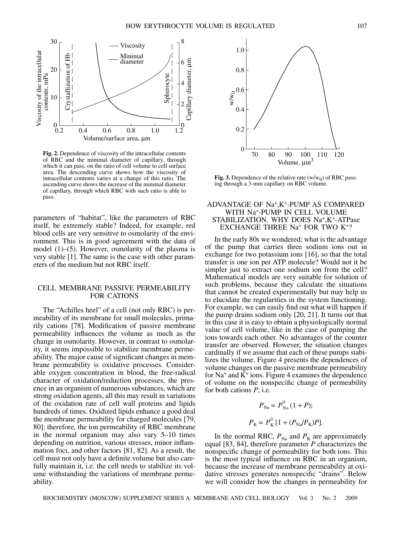

**Fig. 2.** Dependence of viscosity of the intracellular contents of RBC and the minimal diameter of capillary, through which it can pass, on the ratio of cell volume to cell surface area. The descending curve shows how the viscosity of intracellular contents varies at a change of this ratio. The ascending curve shows the increase of the minimal diameter of capillary, through which RBC with such ratio is able to pass.

parameters of "habitat", like the parameters of RBC itself, be extremely stable? Indeed, for example, red blood cells are very sensitive to osmolarity of the environment. This is in good agreement with the data of model (1)–(5). However, osmolarity of the plasma is very stable [1]. The same is the case with other parameters of the medium but not RBC itself.

# CELL MEMBRANE PASSIVE PERMEABILITY FOR CATIONS

The "Achilles heel" of a cell (not only RBC) is permeability of its membrane for small molecules, primarily cations [78]. Modification of passive membrane permeability influences the volume as much as the change in osmolarity. However, in contrast to osmolarity, it seems impossible to stabilize membrane permeability. The major cause of significant changes in membrane permeability is oxidative processes. Considerable oxygen concentration in blood, the free-radical character of oxidation/reduction processes, the presence in an organism of numerous substances, which are strong oxidation agents, all this may result in variations of the oxidation rate of cell wall proteins and lipids hundreds of times. Oxidized lipids enhance a good deal the membrane permeability for charged molecules [79, 80]; therefore, the ion permeability of RBC membrane in the normal organism may also vary 5–10 times depending on nutrition, various stresses, minor inflammation foci, and other factors [81, 82]. As a result, the cell must not only have a definite volume but also carefully maintain it, i.e. the cell needs to stabilize its volume withstanding the variations of membrane permeability.



**Fig. 3.** Dependence of the relative rate  $(w/w_0)$  of RBC passing through a 3-mm capillary on RBC volume.

#### ADVANTAGE OF Na+,K+-PUMP AS COMPARED WITH Na+-PUMP IN CELL VOLUME STABILIZATION. WHY DOES Na+,K+-ATPase EXCHANGE THREE Na<sup>+</sup> FOR TWO K<sup>+</sup>?

In the early 80s we wondered: what is the advantage of the pump that carries three sodium ions out in exchange for two potassium ions [16], so that the total transfer is one ion per ATP molecule? Would not it be simpler just to extract one sodium ion from the cell? Mathematical models are very suitable for solution of such problems, because they calculate the situations that cannot be created experimentally but may help us to elucidate the regularities in the system functioning. For example, we can easily find out what will happen if the pump drains sodium only [20, 21]. It turns out that in this case it is easy to obtain a physiologically normal value of cell volume, like in the case of pumping the ions towards each other. No advantages of the counter transfer are observed. However, the situation changes cardinally if we assume that each of these pumps stabilizes the volume. Figure 4 presents the dependences of volume changes on the passive membrane permeability for  $Na^+$  and  $K^+$  ions. Figure 4 examines the dependence of volume on the nonspecific change of permeability for both cations *ê*, i.e.

$$
P_{\text{Na}} = P_{\text{Na}}^0 (1 + P);
$$
  

$$
P_{\text{K}} = P_{\text{K}}^0 [1 + (P_{\text{Na}}/P_{\text{K}})P].
$$

In the normal RBC,  $P_{\text{Na}}$  and  $P_{\text{K}}$  are approximately equal [83, 84], therefore parameter *ê* characterizes the nonspecific change of permeability for both ions. This is the most typical influence on RBC in an organism, because the increase of membrane permeability at oxidative stresses generates nonspecific "drains". Below we will consider how the changes in permeability for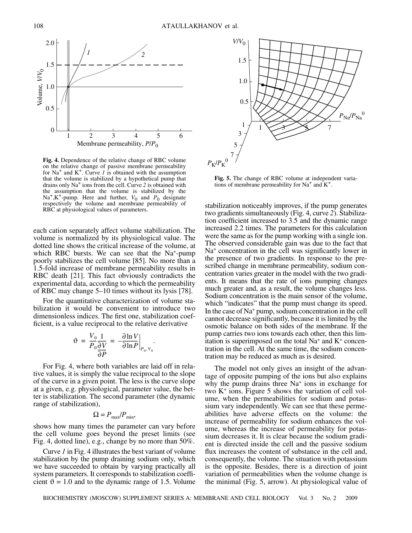

**Fig. 4.** Dependence of the relative change of RBC volume on the relative change of passive membrane permeability for  $Na<sup>+</sup>$  and  $K<sup>+</sup>$ . Curve *1* is obtained with the assumption that the volume is stabilized by a hypothetical pump that drains only Na+ ions from the cell. Curve *2* is obtained with the assumption that the volume is stabilized by the Na<sup>+</sup>,K<sup>+</sup>-pump. Here and further,  $V_0$  and  $P_0$  designate respectively the volume and membrane permeability of RBC at physiological values of parameters.

each cation separately affect volume stabilization. The volume is normalized by its physiological value. The dotted line shows the critical increase of the volume, at which RBC bursts. We can see that the Na<sup>+</sup>-pump poorly stabilizes the cell volume [85]. No more than a 1.5-fold increase of membrane permeability results in RBC death [21]. This fact obviously contradicts the experimental data, according to which the permeability of RBC may change 5–10 times without its lysis [78].

For the quantitative characterization of volume stabilization it would be convenient to introduce two dimensionless indices. The first one, stabilization coefficient, is a value reciprocal to the relative derivative

$$
\vartheta = \frac{V_0}{P_0} \frac{1}{\partial V} = -\frac{\partial \ln V}{\partial \ln P}\Big|_{P_0, V_0}.
$$

For Fig. 4, where both variables are laid off in relative values, it is simply the value reciprocal to the slope of the curve in a given point. The less is the curve slope at a given, e.g. physiological, parameter value, the better is stabilization. The second parameter (the dynamic range of stabilization),

$$
\Omega = P_{\text{max}}/P_{\text{min}},
$$

shows how many times the parameter can vary before the cell volume goes beyond the preset limits (see Fig. 4, dotted line), e.g., change by no more than 50%.

Curve *1* in Fig. 4 illustrates the best variant of volume stabilization by the pump draining sodium only, which we have succeeded to obtain by varying practically all system parameters. It corresponds to stabilization coefficient  $\vartheta = 1.0$  and to the dynamic range of 1.5. Volume



**Fig. 5.** The change of RBC volume at independent variations of membrane permeability for  $Na^+$  and  $K^+$ .

stabilization noticeably improves, if the pump generates two gradients simultaneously (Fig. 4, curve *2*). Stabilization coefficient increased to 3.5 and the dynamic range increased 2.2 times. The parameters for this calculation were the same as for the pump working with a single ion. The observed considerable gain was due to the fact that Na<sup>+</sup> concentration in the cell was significantly lower in the presence of two gradients. In response to the prescribed change in membrane permeability, sodium concentration varies greater in the model with the two gradients. It means that the rate of ions pumping changes much greater and, as a result, the volume changes less. Sodium concentration is the main sensor of the volume, which "indicates" that the pump must change its speed. In the case of Na<sup>+</sup> pump, sodium concentration in the cell cannot decrease significantly, because it is limited by the osmotic balance on both sides of the membrane. If the pump carries two ions towards each other, then this limitation is superimposed on the total  $Na<sup>+</sup>$  and  $K<sup>+</sup>$  concentration in the cell. At the same time, the sodium concentration may be reduced as much as is desired.

The model not only gives an insight of the advantage of opposite pumping of the ions but also explains why the pump drains three Na<sup>+</sup> ions in exchange for two  $K^+$  ions. Figure 5 shows the variation of cell volume, when the permeabilities for sodium and potassium vary independently. We can see that these permeabilities have adverse effects on the volume: the increase of permeability for sodium enhances the volume, whereas the increase of permeability for potassium decreases it. It is clear because the sodium gradient is directed inside the cell and the passive sodium flux increases the content of substance in the cell and, consequently, the volume. The situation with potassium is the opposite. Besides, there is a direction of joint variation of permeabilities when the volume change is the minimal (Fig. 5, arrow). At physiological value of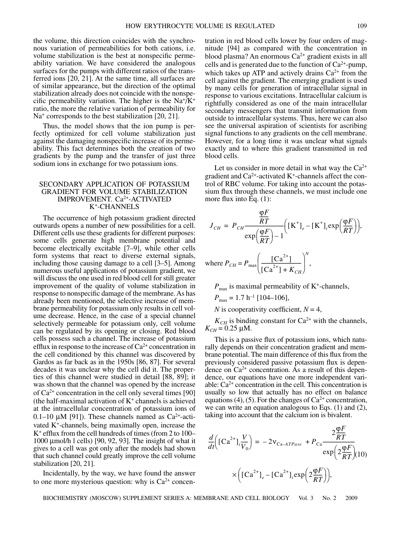the volume, this direction coincides with the synchronous variation of permeabilities for both cations, i.e. volume stabilization is the best at nonspecific permeability variation. We have considered the analogous surfaces for the pumps with different ratios of the transferred ions [20, 21]. At the same time, all surfaces are of similar appearance, but the direction of the optimal stabilization already does not coincide with the nonspecific permeability variation. The higher is the  $Na^{+}/K^{+}$ ratio, the more the relative variation of permeability for Na<sup>+</sup> corresponds to the best stabilization [20, 21].

Thus, the model shows that the ion pump is perfectly optimized for cell volume stabilization just against the damaging nonspecific increase of its permeability. This fact determines both the creation of two gradients by the pump and the transfer of just three sodium ions in exchange for two potassium ions.

## SECONDARY APPLICATION OF POTASSIUM GRADIENT FOR VOLUME STABILIZATION IMPROVEMENT. Ca2+-ACTIVATED K+-CHANNELS

The occurrence of high potassium gradient directed outwards opens a number of new possibilities for a cell. Different cells use these gradients for different purposes: some cells generate high membrane potential and become electrically excitable [7–9], while other cells form systems that react to diverse external signals, including those causing damage to a cell [3–5]. Among numerous useful applications of potassium gradient, we will discuss the one used in red blood cell for still greater improvement of the quality of volume stabilization in response to nonspecific damage of the membrane. As has already been mentioned, the selective increase of membrane permeability for potassium only results in cell volume decrease. Hence, in the case of a special channel selectively permeable for potassium only, cell volume can be regulated by its opening or closing. Red blood cells possess such a channel. The increase of potassium efflux in response to the increase of  $Ca^{2+}$  concentration in the cell conditioned by this channel was discovered by Gardos as far back as in the 1950s [86, 87]. For several decades it was unclear why the cell did it. The properties of this channel were studied in detail [88, 89]; it was shown that the channel was opened by the increase of  $Ca^{2+}$  concentration in the cell only several times [90] (the half-maximal activation of  $K<sup>+</sup>$  channels is achieved at the intracellular concentration of potassium ions of 0.1–10  $\mu$ M [91]). These channels named as Ca<sup>2+</sup>-activated  $K<sup>+</sup>$ -channels, being maximally open, increase the  $K^+$  efflux from the cell hundreds of times (from 2 to 100– 1000 µmol/h l cells) [90, 92, 93]. The insight of what it gives to a cell was got only after the models had shown that such channel could greatly improve the cell volume stabilization [20, 21].

Incidentally, by the way, we have found the answer to one more mysterious question: why is  $Ca^{2+}$  concen-

tration in red blood cells lower by four orders of magnitude [94] as compared with the concentration in blood plasma? An enormous Ca2+ gradient exists in all cells and is generated due to the function of  $Ca^{2+}$ -pump, which takes up ATP and actively drains  $Ca^{2+}$  from the cell against the gradient. The emerging gradient is used by many cells for generation of intracellular signal in response to various excitations. Intracellular calcium is rightfully considered as one of the main intracellular secondary messengers that transmit information from outside to intracellular systems. Thus, here we can also see the universal aspiration of scientists for ascribing signal functions to any gradients on the cell membrane. However, for a long time it was unclear what signals exactly and to where this gradient transmitted in red blood cells.

Let us consider in more detail in what way the  $Ca^{2+}$ gradient and  $Ca^{2+}$ -activated K<sup>+</sup>-channels affect the control of RBC volume. For taking into account the potassium flux through these channels, we must include one more flux into Eq. (1):

$$
J_{CH} = P_{CH} \frac{\frac{\varphi F}{RT}}{\exp\left(\frac{\varphi F}{RT}\right) - 1} \Big( \left[K^{+}\right]_{e} - \left[K^{+}\right]_{i} \exp\left(\frac{\varphi F}{RT}\right) \Big),
$$

where  $P_{CH} = P_{\text{max}} \left( \frac{[Ca^{2+}]}{[Ca^{2+}]} \right)$  $\frac{[Ca]}{[Ca^{2+}]+K_{CH}}$  $\left(\frac{[Ca^{2+}]}{[Ca^{2+}]+K_{CH}}\right)^{N}$ ,

 $P_{\text{max}}$  is maximal permeability of K<sup>+</sup>-channels,

 $P_{\text{max}} = 1.7 \text{ h}^{-1} [104 - 106]$ ,

*N* is cooperativity coefficient,  $N = 4$ ,

 $K_{CH}$  is binding constant for  $Ca^{2+}$  with the channels,  $K_{CH} = 0.25 \,\mu \text{M}.$ 

This is a passive flux of potassium ions, which naturally depends on their concentration gradient and membrane potential. The main difference of this flux from the previously considered passive potassium flux is dependence on  $Ca^{2+}$  concentration. As a result of this dependence, our equations have one more independent variable:  $Ca<sup>2+</sup>$  concentration in the cell. This concentration is usually so low that actually has no effect on balance equations (4), (5). For the changes of  $Ca^{2+}$  concentration, we can write an equation analogous to Eqs. (1) and (2), taking into account that the calcium ion is bivalent.

$$
\frac{d}{dt}\left(\left[Ca^{2+}\right]_{i}\frac{V}{V_{0}}\right) = -2v_{Ca-ATPase} + P_{Ca}\frac{2\frac{\varphi F}{RT}}{\exp\left(2\frac{\varphi F}{RT}\right)}\exp\left(2\frac{\varphi F}{RT}\right)
$$

$$
\times \left(\left[Ca^{2+}\right]_{e} - \left[Ca^{2+}\right]_{i}\exp\left(2\frac{\varphi F}{RT}\right)\right),\right.
$$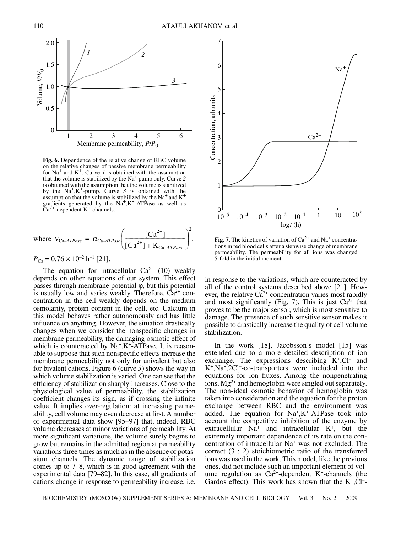

**Fig. 6.** Dependence of the relative change of RBC volume on the relative changes of passive membrane permeability for  $Na<sup>+</sup>$  and  $K<sup>+</sup>$ . Curve *1* is obtained with the assumption that the volume is stabilized by the Na+ pump only. Curve *2* is obtained with the assumption that the volume is stabilized by the  $Na^+, K^+$ -pump. Curve 3 is obtained with the assumption that the volume is stabilized by the Na<sup>+</sup> and  $K^+$ gradients generated by the  $Na^+, K^+$ -ATPase as well as  $Ca^{2+}$ -dependent K<sup>+</sup>-channels.

where 
$$
v_{Ca-ATPase} = \alpha_{Ca-ATPase} \left( \frac{[Ca^{2+}]}{[Ca^{2+}]} + K_{Ca-ATPase}} \right)^2
$$
,  
\n $P_{Ca} = 0.76 \times 10^{-2} \text{ h}^{-1} [21]$ .

The equation for intracellular  $Ca^{2+}$  (10) weakly depends on other equations of our system. This effect passes through membrane potential ϕ, but this potential is usually low and varies weakly. Therefore,  $Ca^{2+}$  concentration in the cell weakly depends on the medium osmolarity, protein content in the cell, etc. Calcium in this model behaves rather autonomously and has little influence on anything. However, the situation drastically changes when we consider the nonspecific changes in membrane permeability, the damaging osmotic effect of which is counteracted by  $Na<sup>+</sup>, K<sup>+</sup>$ -ATPase. It is reasonable to suppose that such nonspecific effects increase the membrane permeability not only for univalent but also for bivalent cations. Figure 6 (curve *3*) shows the way in which volume stabilization is varied. One can see that the efficiency of stabilization sharply increases. Close to the physiological value of permeability, the stabilization coefficient changes its sign, as if crossing the infinite value. It implies over-regulation: at increasing permeability, cell volume may even decrease at first. A number of experimental data show [95–97] that, indeed, RBC volume decreases at minor variations of permeability. At more significant variations, the volume surely begins to grow but remains in the admitted region at permeability variations three times as much as in the absence of potassium channels. The dynamic range of stabilization comes up to 7–8, which is in good agreement with the experimental data [79–82]. In this case, all gradients of cations change in response to permeability increase, i.e.



**Fig. 7.** The kinetics of variation of  $Ca^{2+}$  and Na<sup>+</sup> concentrations in red blood cells after a stepwise change of membrane permeability. The permeability for all ions was changed 5-fold in the initial moment.

in response to the variations, which are counteracted by all of the control systems described above [21]. However, the relative  $Ca^{2+}$  concentration varies most rapidly and most significantly (Fig. 7). This is just  $Ca^{2+}$  that proves to be the major sensor, which is most sensitive to damage. The presence of such sensitive sensor makes it possible to drastically increase the quality of cell volume stabilization.

In the work [18], Jacobsson's model [15] was extended due to a more detailed description of ion exchange. The expressions describing  $K^+$ , Cl<sup>-</sup> and K<sup>+</sup>,Na<sup>+</sup>,2Cl<sup>-</sup>-co-transporters were included into the equations for ion fluxes. Among the nonpenetrating ions,  $Mg^{2+}$  and hemoglobin were singled out separately. The non-ideal osmotic behavior of hemoglobin was taken into consideration and the equation for the proton exchange between RBC and the environment was added. The equation for  $Na^+$ ,  $K^+$ -ATPase took into account the competitive inhibition of the enzyme by extracellular  $Na<sup>+</sup>$  and intracellular  $K<sup>+</sup>$ , but the extremely important dependence of its rate on the concentration of intracellular Na<sup>+</sup> was not excluded. The correct (3 : 2) stoichiometric ratio of the transferred ions was used in the work. This model, like the previous ones, did not include such an important element of volume regulation as  $Ca^{2+}$ -dependent K<sup>+</sup>-channels (the Gardos effect). This work has shown that the  $K^+$ , Cl<sup>-</sup>-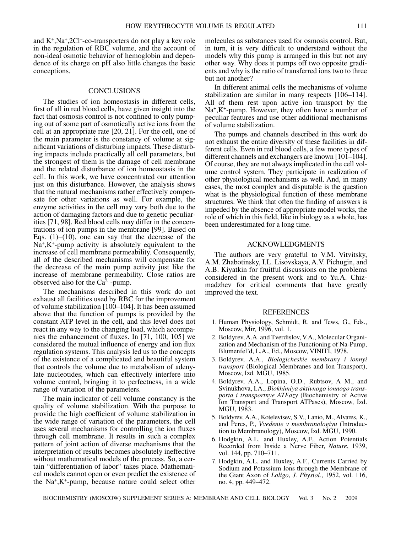and  $K^+$ ,Na<sup>+</sup>,2Cl<sup>-</sup>-co-transporters do not play a key role in the regulation of RBC volume, and the account of non-ideal osmotic behavior of hemoglobin and dependence of its charge on pH also little changes the basic conceptions.

#### **CONCLUSIONS**

The studies of ion homeostasis in different cells, first of all in red blood cells, have given insight into the fact that osmosis control is not confined to only pumping out of some part of osmotically active ions from the cell at an appropriate rate [20, 21]. For the cell, one of the main parameter is the constancy of volume at significant variations of disturbing impacts. These disturbing impacts include practically all cell parameters, but the strongest of them is the damage of cell membrane and the related disturbance of ion homeostasis in the cell. In this work, we have concentrated our attention just on this disturbance. However, the analysis shows that the natural mechanisms rather effectively compensate for other variations as well. For example, the enzyme activities in the cell may vary both due to the action of damaging factors and due to genetic peculiarities [71, 98]. Red blood cells may differ in the concentrations of ion pumps in the membrane [99]. Based on Eqs. (1)−(10), one can say that the decrease of the  $Na<sup>+</sup>, K<sup>+</sup>$ -pump activity is absolutely equivalent to the increase of cell membrane permeability. Consequently, all of the described mechanisms will compensate for the decrease of the main pump activity just like the increase of membrane permeability. Close ratios are observed also for the  $Ca^{2+}$ -pump.

The mechanisms described in this work do not exhaust all facilities used by RBC for the improvement of volume stabilization [100–104]. It has been assumed above that the function of pumps is provided by the constant ATP level in the cell, and this level does not react in any way to the changing load, which accompanies the enhancement of fluxes. In [71, 100, 105] we considered the mutual influence of energy and ion flux regulation systems. This analysis led us to the concepts of the existence of a complicated and beautiful system that controls the volume due to metabolism of adenylate nucleotides, which can effectively interfere into volume control, bringing it to perfectness, in a wide range of variation of the parameters.

The main indicator of cell volume constancy is the quality of volume stabilization. With the purpose to provide the high coefficient of volume stabilization in the wide range of variation of the parameters, the cell uses several mechanisms for controlling the ion fluxes through cell membrane. It results in such a complex pattern of joint action of diverse mechanisms that the interpretation of results becomes absolutely ineffective without mathematical models of the process. So, a certain "differentiation of labor" takes place. Mathematical models cannot open or even predict the existence of the Na+,K<sup>+</sup>-pump, because nature could select other molecules as substances used for osmosis control. But, in turn, it is very difficult to understand without the models why this pump is arranged in this but not any other way. Why does it pumps off two opposite gradients and why is the ratio of transferred ions two to three but not another?

In different animal cells the mechanisms of volume stabilization are similar in many respects [106–114]. All of them rest upon active ion transport by the Na<sup>+</sup>,K<sup>+</sup>-pump. However, they often have a number of peculiar features and use other additional mechanisms of volume stabilization.

The pumps and channels described in this work do not exhaust the entire diversity of these facilities in different cells. Even in red blood cells, a few more types of different channels and exchangers are known [101–104]. Of course, they are not always implicated in the cell volume control system. They participate in realization of other physiological mechanisms as well. And, in many cases, the most complex and disputable is the question what is the physiological function of these membrane structures. We think that often the finding of answers is impeded by the absence of appropriate model works, the role of which in this field, like in biology as a whole, has been underestimated for a long time.

#### ACKNOWLEDGMENTS

The authors are very grateful to V.M. Vitvitsky, A.M. Zhabotinsky, I.L. Lisovskaya, A.V. Pichugin, and A.B. Kiyatkin for fruitful discussions on the problems considered in the present work and to Yu.A. Chizmadzhev for critical comments that have greatly improved the text.

#### REFERENCES

- 1. Human Physiology, Schmidt, R. and Tews, G., Eds., Moscow, Mir, 1996, vol. 1.
- 2. Boldyrev, A.A. and Tverdislov, V.A., Molecular Organization and Mechanism of the Functioning of Na-Pump, Blumenfel'd, L.A., Ed., Moscow, VINITI, 1978.
- 3. Boldyrev, A.A., *Biologicheskie membrany i ionnyi transport* (Biological Membranes and Ion Transport), Moscow, Izd. MGU, 1985.
- 4. Boldyrev, A.A., Lopina, O.D., Rubtsov, A M., and Svinukhova, I.A., *Biokhimiya aktivnogo ionnogo transporta i transportnye ATFazy* (Biochemistry of Active Ion Transport and Transport ATPases), Moscow, Izd. MGU, 1983.
- 5. Boldyrev, A.A., Kotelevtsev, S.V., Lanio, M., Alvares, K., and Peres, P., *Vvedenie v membranologiyu* (Introduction to Membranology), Moscow, Izd. MGU, 1990.
- 6. Hodgkin, A.L. and Huxley, A.F., Action Potentials Recorded from Inside a Nerve Fiber, *Nature*, 1939, vol. 144, pp. 710–711.
- 7. Hodgkin, A.L. and Huxley, A.F., Currents Carried by Sodium and Potassium Ions through the Membrane of the Giant Axon of *Loligo*, *J. Physiol.*, 1952, vol. 116, no. 4, pp. 449–472.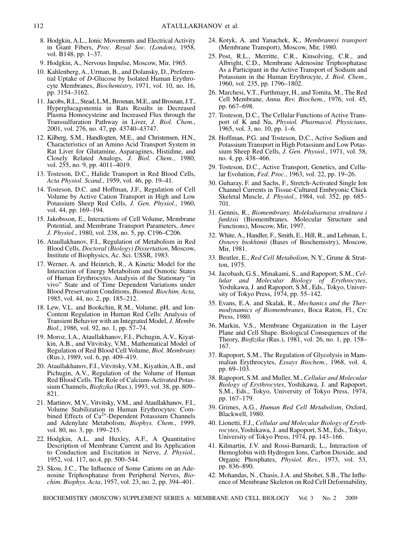- 8. Hodgkin, A.L., Ionic Movements and Electrical Activity in Giant Fibers, *Proc. Royal Soc. (London)*, 1958, vol. B148, pp. 1–37.
- 9. Hodgkin, A., Nervous Impulse, Moscow, Mir, 1965.
- 10. Kahlenberg, A., Urman, B., and Dolansky, D., Preferential Uptake of *D*-Glucose by Isolated Human Erythrocyte Membranes, *Biochemistry*, 1971, vol. 10, no. 16, pp. 3154–3162.
- 11. Jacobs, R.L., Stead, L.M., Brosnan, M.E., and Brosnan, J.T., Hyperglucagonemia in Rats Results in Decreased Plasma Homocysteine and Increased Flux through the Transsulfuration Pathway in Liver, *J. Biol. Chem.*, 2001, vol. 276, no. 47, pp. 43740–43747.
- 12. Kilberg, S.M., Handlogten, M.E., and Christensen, H.N., Characteristics of an Amino Acid Transport System in Rat Liver for Glutamine, Asparagines, Histidine, and Closely Related Analogs, *J. Biol. Chem.*, 1980, vol. 255, no. 9, pp. 4011–4019.
- 13. Tosteson, D.C., Halide Transport in Red Blood Cells, *Acta Physiol. Scand.*, 1959, vol. 46, pp. 19–41.
- 14. Tosteson, D.C. and Hoffman, J.F., Regulation of Cell Volume by Active Cation Transport in High and Low Potassium Sheep Red Cells, *J. Gen. Physiol.*, 1960, vol. 44, pp. 169–194.
- 15. Jakobsson, E., Interactions of Cell Volume, Membrane Potential, and Membrane Transport Parameters, *Amer. J. Physiol.*, 1980, vol. 238, no. 5, pp. C196–C206.
- 16. Ataullakhanov, F.I., Regulation of Metabolism in Red Blood Cells, *Doctoral (Biology) Dissertation*, Moscow, Institute of Biophysics, Ac. Sci. USSR, 1983.
- 17. Werner, A. and Heinrich, R., A Kinetic Model for the Interaction of Energy Metabolism and Osmotic States of Human Erythrocytes. Analysis of the Stationary "in vivo" State and of Time Dependent Variations under Blood Preservation Conditions, *Biomed. Biochim. Acta*, 1985, vol. 44, no. 2, pp. 185–212.
- 18. Lew, V.L. and Bookchin, R.M., Volume, pH, and Ion-Content Regulation in Human Red Cells: Analysis of Transient Behavior with an Integrated Model, *J. Membr. Biol.*, 1986, vol. 92, no. 1, pp. 57–74.
- 19. Moroz, I.A., Ataullakhanov, F.I., Pichugin, A.V., Kiyatkin, A.B., and Vitvitsky, V.M., Mathematical Model of Regulation of Red Blood Cell Volume, *Biol. Membrany* (Rus.), 1989, vol. 6, pp. 409–419.
- 20. Ataullakhanov, F.I., Vitvitsky, V.M., Kiyatkin, A.B., and Pichugin, A.V., Regulation of the Volume of Human Red Blood Cells. The Role of Calcium-Activated Potassium Channels, *Biofizika* (Rus.), 1993, vol. 38, pp. 809– 821.
- 21. Martinov, M.V., Vitvitsky, V.M., and Ataullakhanov, F.I., Volume Stabilization in Human Erythrocytes: Combined Effects of Ca<sup>2+</sup>-Dependent Potassium Channels and Adenylate Metabolism, *Biophys. Chem.*, 1999, vol. 80, no. 3, pp. 199–215.
- 22. Hodgkin, A.L. and Huxley, A.F., A Quantitative Description of Membrane Current and Its Application to Conduction and Excitation in Nerve, *J. Physiol.*, 1952, vol. 117, no.4, pp. 500–544.
- 23. Skou, J.C., The Influence of Some Cations on an Adenosine Triphosphatase from Peripheral Nerves, *Biochim. Biophys. Acta*, 1957, vol. 23, no. 2, pp. 394–401.
- 24. Kotyk, A. and Yanachek, K., *Membrannyi transport* (Membrane Transport), Moscow, Mir, 1980.
- 25. Post, R.L., Merritte, C.R., Kinsolving, C.R., and Albright, C.D., Membrane Adenosine Triphosphatase As a Participant in the Active Transport of Sodium and Potassium in the Human Erythrocyte, *J. Biol. Chem.*, 1960, vol. 235, pp. 1796–1802.
- 26. Marchesi, V.T., Furthmayr, H., and Tomita, M., The Red Cell Membrane, *Annu. Rev. Biochem.*, 1976, vol. 45, pp. 667–698.
- 27. Tosteson, D.C., The Cellular Functions of Active Transport of K and Na, *Physiol. Pharmacol. Physicians*, 1965, vol. 3, no. 10, pp. 1–6.
- 28. Hoffman, P.G. and Tosteson, D.C., Active Sodium and Potassium Transport in High Potassium and Low Potassium Sheep Red Cells, *J. Gen. Physiol.*, 1971, vol. 58, no. 4, pp. 438–466.
- 29. Tosteson, D.C., Active Transport, Genetics, and Cellular Evolution, *Fed. Proc.*, 1963, vol. 22, pp. 19–26.
- 30. Guharay, F. and Sachs, F., Stretch-Activated Single Ion Channel Currents in Tissue-Cultured Embryonic Chick Skeletal Muscle, *J. Physiol.*, 1984, vol. 352, pp. 685– 701.
- 31. Gennis, R., *Biomembrany. Molekuliarnaya struktura i funktsii* (Biomembranes. Molecular Structure and Functions), Moscow, Mir, 1997.
- 32. White, A., Handler, F., Smith, E., Hill, R., and Lehman, I., *Osnovy biokhimii* (Bases of Biochemistry), Moscow, Mir, 1981.
- 33. Beutler, E., *Red Cell Metabolism*, N.Y., Grune & Stratton, 1975.
- 34. Jacobash, G.S., Minakami, S., and Rapoport, S.M., *Cellular and Molecular Biology of Erythrocytes*, Yoshikawa, J. and Rapoport, S.M., Eds., Tokyo, University of Tokyo Press, 1974, pp. 55–142.
- 35. Evans, E.A. and Skalak, R., *Mechanics and the Thermodynamics of Biomembranes*, Boca Raton, Fl., Crc Press, 1980.
- 36. Markin, V.S., Membrane Organization in the Layer Plane and Cell Shape. Biological Consequences of the Theory, *Biofizika* (Rus.), 1981, vol. 26, no. 1, pp. 158– 167.
- 37. Rapoport, S.M., The Regulation of Glycolysis in Mammalian Erythrocytes, *Essays Biochem.*, 1968, vol. 4, pp. 69–103.
- 38. Rapoport, S.M. and Muller, M., *Cellular and Molecular Biology of Erythrocytes*, Yoshikawa, J. and Rapoport, S.M., Eds., Tokyo, University of Tokyo Press, 1974, pp. 167–179.
- 39. Grimes, A.G., *Human Red Cell Metabolism*, Oxford, Blackwell, 1980.
- 40. Lionetti, F.J., *Cellular and Molecular Biology of Erythrocytes*, Yoshikawa, J. and Rapoport, S.M., Eds., Tokyo, University of Tokyo Press, 1974, pp. 143–166.
- 41. Kilmartin, J.V. and Rossi-Barnardi, L., Interaction of Hemoglobin with Hydrogen Ions, Carbon Dioxide, and Organic Phosphates, *Physiol. Rev.*, 1973, vol. 53, pp. 836–890.
- 42. Mohandas, N., Chasis, J.A. and Shohet, S.B., The Influence of Membrane Skeleton on Red Cell Deformability,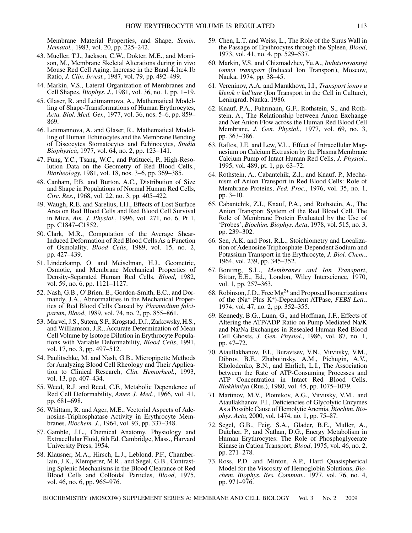Membrane Material Properties, and Shape, *Semin. Hematol.*, 1983, vol. 20, pp. 225–242.

- 43. Mueller, T.J., Jackson, C.W., Dokter, M.E., and Morrison, M., Membrane Skeletal Alterations during in vivo Mouse Red Cell Aging. Increase in the Band 4.1a:4.1b Ratio, *J. Clin. Invest.*, 1987, vol. 79, pp. 492–499.
- 44. Markin, V.S., Lateral Organization of Membranes and Cell Shapes, *Biophys. J.*, 1981, vol. 36, no. 1, pp. 1–19.
- 45. Glaser, R. and Leitmannova, A., Mathematical Modelling of Shape-Transformations of Human Erythrocytes, *Acta. Biol. Med. Ger.*, 1977, vol. 36, nos. 5–6, pp. 859– 869.
- 46. Leitmannova, A. and Glaser, R., Mathematical Modelling of Human Echinocytes and the Membrane Bending of Discocytes Stomatocytes and Echinocytes, *Studia Biophysica*, 1977, vol. 64, no. 2, pp. 123−141.
- 47. Fung, Y.C., Tsang, W.C., and Patitucci, P., High-Resolution Data on the Geometry of Red Blood Cells., *Biorheology*, 1981, vol. 18, nos. 3–6, pp. 369–385.
- 48. Canham, P.B. and Burton, A.C., Distribution of Size and Shape in Populations of Normal Human Red Cells, *Circ. Res.*, 1968, vol. 22, no. 3, pp. 405–422.
- 49. Waugh, R.E. and Sarelius, I.H., Effects of Lost Surface Area on Red Blood Cells and Red Blood Cell Survival in Mice, *Am. J. Physiol.*, 1996, vol. 271, no. 6, Pt 1, pp. C1847–C1852.
- 50. Clark, M.R., Computation of the Average Shear-Induced Deformation of Red Blood Cells As a Function of Osmolality, *Blood Cells*, 1989, vol. 15, no. 2, pp. 427–439.
- 51. Linderkamp, O. and Meiselman, H.J., Geometric, Osmotic, and Membrane Mechanical Properties of Density-Separated Human Red Cells, *Blood*, 1982, vol. 59, no. 6, pp. 1121–1127.
- 52. Nash, G.B., O'Brien, E., Gordon-Smith, E.C., and Dormandy, J.A., Abnormalities in the Mechanical Properties of Red Blood Cells Caused by *Plasmodium falciparum*, *Blood*, 1989, vol. 74, no. 2, pp. 855–861.
- 53. Marvel, J.S., Sutera, S.P., Krogstad, D.J., Zarkowsky, H.S., and Williamson, J.R., Accurate Determination of Mean Cell Volume by Isotope Dilution in Erythrocyte Populations with Variable Deformability, *Blood Cells*, 1991, vol. 17, no. 3, pp. 497–512.
- 54. Paulitschke, M. and Nash, G.B., Micropipette Methods for Analyzing Blood Cell Rheology and Their Application to Clinical Research, *Clin. Hemorheol.*, 1993, vol. 13, pp. 407–434.
- 55. Weed, R.J. and Reed, C.F., Metabolic Dependence of Red Cell Deformability, *Amer. J. Med.*, 1966, vol. 41, pp. 681–698.
- 56. Whittam, R. and Ager, M.E., Vectorial Aspects of Adenosine-Triphosphatase Activity in Erythrocyte Membranes, *Biochem. J.*, 1964, vol. 93, pp. 337–348.
- 57. Gamble, J.L., Chemical Anatomy, Physiology and Extracellular Fluid, 6th Ed. Cambridge, Mass., Harvard University Press, 1954.
- 58. Klausner, M.A., Hirsch, L.J., Leblond, P.F., Chamberlain, J.K., Klemperer, M.R., and Segel, G.B., Contrasting Splenic Mechanisms in the Blood Clearance of Red Blood Cells and Colloidal Particles, *Blood*, 1975, vol. 46, no. 6, pp. 965–976.
- 59. Chen, L.T. and Weiss, L., The Role of the Sinus Wall in the Passage of Erythrocytes through the Spleen, *Blood*, 1973, vol. 41, no. 4, pp. 529–537.
- 60. Markin, V.S. and Chizmadzhev, Yu.A., *Indutsirovannyi ionnyi transport* (Induced Ion Transport), Moscow, Nauka, 1974, pp. 38–45.
- 61. Vereninov, A.A. and Marakhova, I.I., *Transport ionov u kletok v kul'ture* (Ion Transport in the Cell in Culture), Leningrad, Nauka, 1986.
- 62. Knauf, P.A., Fuhrmann, G.F., Rothstein, S., and Rothstein, A., The Relationship between Anion Exchange and Net Anion Flow across the Human Red Blood Cell Membrane, *J. Gen. Physiol.*, 1977, vol. 69, no. 3, pp. 363–386.
- 63. Raftos, J.E. and Lew, V.L., Effect of Intracellular Magnesium on Calcium Extrusion by the Plasma Membrane Calcium Pump of Intact Human Red Cells, *J. Physiol.*, 1995, vol. 489, pt. 1, pp. 63–72.
- 64. Rothstein, A., Cabantchik, Z.I., and Knauf, P., Mechanism of Anion Transport in Red Blood Cells: Role of Membrane Proteins, *Fed. Proc.*, 1976, vol. 35, no. 1, pp. 3–10.
- 65. Cabantchik, Z.I., Knauf, P.A., and Rothstein, A., The Anion Transport System of the Red Blood Cell. The Role of Membrane Protein Evaluated by the Use of 'Probes', *Biochim. Biophys. Acta*, 1978, vol. 515, no. 3, pp. 239–302.
- 66. Sen, A.K. and Post, R.L., Stoichiometry and Localization of Adenosine Triphosphate-Dependent Sodium and Potassium Transport in the Erythrocyte, *J. Biol. Chem.*, 1964, vol. 239, pp. 345–352.
- 67. Bonting, S.L., *Membranes and Ion Transport*, Bittar, E.E., Ed., London, Wiley Interscience, 1970, vol. 1, pp. 257–363.
- 68. Robinson, J.D., Free  $Mg^{2+}$  and Proposed Isomerizations of the (Na+ Plus K+)-Dependent ATPase, *FEBS Lett.*, 1974, vol. 47, no. 2, pp. 352–355.
- 69. Kennedy, B.G., Lunn, G., and Hoffman, J.F., Effects of Altering the ATP/ADP Ratio on Pump-Mediated Na/K and Na/Na Exchanges in Resealed Human Red Blood Cell Ghosts, *J. Gen. Physiol.*, 1986, vol. 87, no. 1, pp. 47–72.
- 70. Ataullakhanov, F.I., Buravtsev, V.N., Vitvitsky, V.M., Dibrov, B.F., Zhabotinsky, A.M., Pichugin, A.V., Kholodenko, B.N., and Ehrlich, L.I., The Association between the Rate of ATP-Consuming Processes and ATP Concentration in Intact Red Blood Cells, *Biokhimiya* (Rus.), 1980, vol. 45, pp. 1075–1079.
- 71. Martinov, M.V., Plotnikov, A.G., Vitvitsky, V.M., and Ataullakhanov, F.I., Deficiencies of Glycolytic Enzymes As a Possible Cause of Hemolytic Anemia, *Biochim. Biophys. Acta*, 2000, vol. 1474, no. 1, pp. 75–87.
- 72. Segel, G.B., Feig, S.A., Glader, B.E., Muller, A., Dutcher, P., and Nathan, D.G., Energy Metabolism in Human Erythrocytes: The Role of Phosphoglycerate Kinase in Cation Transport, *Blood*, 1975, vol. 46, no. 2, pp. 271–278.
- 73. Ross, P.D. and Minton, A.P., Hard Quasispherical Model for the Viscosity of Hemoglobin Solutions, *Biochem. Biophys. Res. Commun.*, 1977, vol. 76, no. 4, pp. 971–976.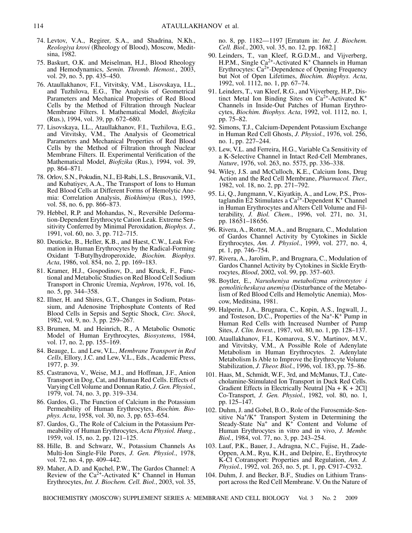- 74. Levtov, V.A., Regirer, S.A., and Shadrina, N.Kh., *Reologiya krovi* (Rheology of Blood), Moscow, Meditsina, 1982.
- 75. Baskurt, O.K. and Meiselman, H.J., Blood Rheology and Hemodynamics, *Semin. Thromb. Hemost.*, 2003, vol. 29, no. 5, pp. 435–450.
- 76. Ataullakhanov, F.I., Vitvitsky, V.M., Lisovskaya, I.L., and Tuzhilova, E.G., The Analysis of Geometrical Parameters and Mechanical Properties of Red Blood Cells by the Method of Filtration through Nuclear Membrane Filters. I. Mathematical Model, *Biofizika* (Rus.), 1994, vol. 39, pp. 672–680.
- 77. Lisovskaya, I.L., Ataullakhanov, F.I., Tuzhilova, E.G., and Vitvitsky, V.M., The Analysis of Geometrical Parameters and Mechanical Properties of Red Blood Cells by the Method of Filtration through Nuclear Membrane Filters. II. Experimental Verification of the Mathematical Model, *Biofizika* (Rus.), 1994, vol. 39, pp. 864–871.
- 78. Orlov, S.N., Pokudin, N.I., El-Rabi, L.S., Brusovanik, V.I., and Kubatiyev, A.A., The Transport of Ions to Human Red Blood Cells at Different Forms of Hemolytic Anemia: Correlation Analysis, *Biokhimiya* (Rus.), 1993, vol. 58, no. 6, pp. 866–873.
- 79. Hebbel, R.P. and Mohandas, N., Reversible Deformation-Dependent Erythrocyte Cation Leak. Extreme Sensitivity Conferred by Minimal Peroxidation, *Biophys. J.*, 1991, vol. 60, no. 3, pp. 712–715.
- 80. Deuticke, B., Heller, K.B., and Haest, C.W., Leak Formation in Human Erythrocytes by the Radical-Forming Oxidant T-Butylhydroperoxide, *Biochim. Biophys. Acta*, 1986, vol. 854, no. 2, pp. 169–183.
- 81. Kramer, H.J., Gospodinov, D., and Kruck, F., Functional and Metabolic Studies on Red Blood Cell Sodium Transport in Chronic Uremia, *Nephron*, 1976, vol. 16, no. 5, pp. 344–358.
- 82. Illner, H. and Shires, G.T., Changes in Sodium, Potassium, and Adenosine Triphosphate Contents of Red Blood Cells in Sepsis and Septic Shock, *Circ. Shock*, 1982, vol. 9, no. 3, pp. 259–267.
- 83. Brumen, M. and Heinrich, R., A Metabolic Osmotic Model of Human Erythrocytes, *Biosystems*, 1984, vol. 17, no. 2, pp. 155–169.
- 84. Beauge, L. and Lew, V.L., *Membrane Transport in Red Cells*, Ellory, J.C. and Lew, V.L., Eds., Academic Press, 1977, p. 39.
- 85. Castranova, V., Weise, M.J., and Hoffman, J.F., Anion Transport in Dog, Cat, and Human Red Cells. Effects of Varying Cell Volume and Donnan Ratio, *J. Gen. Physiol.*, 1979, vol. 74, no. 3, pp. 319–334.
- 86. Gardos, G., The Function of Calcium in the Potassium Permeability of Human Erythrocytes, *Biochim. Biophys. Acta*, 1958, vol. 30, no. 3, pp. 653–654.
- 87. Gardos, G., The Role of Calcium in the Potassium Permeability of Human Erythrocytes, *Acta Physiol. Hung.*, 1959, vol. 15, no. 2, pp. 121–125.
- 88. Hille, B. and Schwarz, W., Potassium Channels As Multi-Ion Single-File Pores, *J. Gen. Physiol.*, 1978, vol. 72, no. 4, pp. 409–442.
- 89. Maher, A.D. and Kuchel, P.W., The Gardos Channel: A Review of the  $Ca^{2+}$ -Activated K<sup>+</sup> Channel in Human Erythrocytes, *Int. J. Biochem. Cell. Biol.*, 2003, vol. 35,

no. 8, pp. 1182—1197 [Erratum in: *Int. J. Biochem. Cell. Biol.*, 2003, vol. 35, no. 12, pp. 1682.]

- 90. Leinders, T., van Kleef, R.G.D.M., and Vijverberg, H.P.M., Single Ca<sup>2+</sup>-Activated K<sup>+</sup> Channels in Human Erythrocytes: Ca<sup>2+</sup>-Dependence of Opening Frequency but Not of Open Lifetimes, *Biochim. Biophys. Acta*, 1992, vol. 1112, no. 1, pp. 67–74.
- 91. Leinders, T., van Kleef, R.G., and Vijverberg, H.P., Distinct Metal Ion Binding Sites on  $Ca^{2+}$ -Activated K<sup>+</sup> Channels in Inside-Out Patches of Human Erythrocytes, *Biochim. Biophys. Acta*, 1992, vol. 1112, no. 1, pp. 75–82.
- 92. Simons, T.J., Calcium-Dependent Potassium Exchange in Human Red Cell Ghosts, *J. Physiol.*, 1976, vol. 256, no. 1, pp. 227–244.
- 93. Lew, V.L. and Ferreira, H.G., Variable Ca Sensitivity of a K-Selective Channel in Intact Red-Cell Membranes, *Nature*, 1976, vol. 263, no. 5575, pp. 336–338.
- 94. Wiley, J.S. and McCulloch, K.E., Calcium Ions, Drug Action and the Red Cell Membrane, *Pharmacol. Ther.*, 1982, vol. 18, no. 2, pp. 271–792.
- 95. Li, Q., Jungmann, V., Kiyatkin, A., and Low, P.S., Prostaglandin E2 Stimulates a  $Ca^{2+}$ -Dependent K<sup>+</sup> Channel in Human Erythrocytes and Alters Cell Volume and Filterability, *J. Biol. Chem.*, 1996, vol. 271, no. 31, pp. 18651–18656.
- 96. Rivera, A., Rotter, M.A., and Brugnara, C., Modulation of Gardos Channel Activity by Cytokines in Sickle Erythrocytes, *Am. J. Physiol.*, 1999, vol. 277, no. 4, pt. 1, pp. 746–754.
- 97. Rivera, A., Jarolim, P., and Brugnara, C., Modulation of Gardos Channel Activity by Cytokines in Sickle Erythrocytes, *Blood*, 2002, vol. 99, pp. 357–603.
- 98. Boytler, E., *Narusheniya metabolizma eritrotsytov i gemoliticheskaya anemiya* (Disturbance of the Metabolism of Red Blood Cells and Hemolytic Anemia), Moscow, Meditsina, 1981.
- 99. Halperin, J.A., Brugnara, C., Kopin, A.S., Ingwall, J., and Tosteson, D.C., Properties of the Na+-K+ Pump in Human Red Cells with Increased Number of Pump Sites, *J. Clin. Invest.*, 1987, vol. 80, no. 1, pp. 128–137.
- 100. Ataullakhanov, F.I., Komarova, S.V., Martinov, M.V., and Vitvitsky, V.M., A Possible Role of Adenylate Metabolism in Human Erythrocytes. 2. Adenylate Metabolism Is Able to Improve the Erythrocyte Volume Stabilization, *J. Theor. Biol.*, 1996, vol. 183, pp. 75–86.
- 101. Haas, M., Schmidt, W.F., 3rd, and McManus, T.J., Catecholamine-Stimulated Ion Transport in Duck Red Cells. Gradient Effects in Electrically Neutral  $[Na + K + 2CI]$ Co-Transport, *J. Gen. Physiol.*, 1982, vol. 80, no. 1, pp. 125–147.
- 102. Duhm, J. and Gobel, B.O., Role of the Furosemide-Sensitive  $Na^{+}/K^{+}$  Transport System in Determining the Steady-State  $Na<sup>+</sup>$  and  $K<sup>+</sup>$  Content and Volume of Human Erythrocytes in vitro and in vivo, *J. Membr. Biol.*, 1984, vol. 77, no. 3, pp. 243–254.
- 103. Lauf, P.K., Bauer, J., Adragna, N.C., Fujise, H., Zade-Oppen, A.M., Ryu, K.H., and Delpire, E., Erythrocyte K-Cl Cotransport: Properties and Regulation, *Am. J. Physiol.*, 1992, vol. 263, no. 5, pt. 1, pp. C917–C932.
- 104. Duhm, J. and Becker, B.F., Studies on Lithium Transport across the Red Cell Membrane. V. On the Nature of